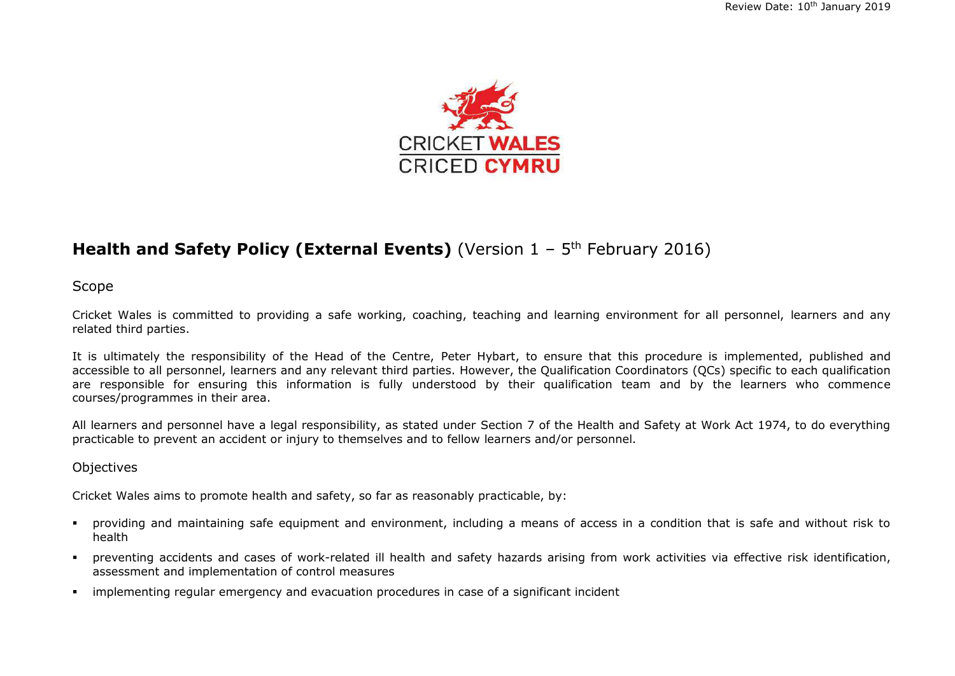

## **Health and Safety Policy (External Events)** (Version 1 - 5<sup>th</sup> February 2016)

Scope

Cricket Wales is committed to providing a safe working, coaching, teaching and learning environment for all personnel, learners and any related third parties.

It is ultimately the responsibility of the Head of the Centre, Peter Hybart, to ensure that this procedure is implemented, published and accessible to all personnel, learners and any relevant third parties. However, the Qualification Coordinators (QCs) specific to each qualification are responsible for ensuring this information is fully understood by their qualification team and by the learners who commence courses/programmes in their area.

All learners and personnel have a legal responsibility, as stated under Section 7 of the Health and Safety at Work Act 1974, to do everything practicable to prevent an accident or injury to themselves and to fellow learners and/or personnel.

#### **Objectives**

Cricket Wales aims to promote health and safety, so far as reasonably practicable, by:

- providing and maintaining safe equipment and environment, including a means of access in a condition that is safe and without risk to health
- preventing accidents and cases of work-related ill health and safety hazards arising from work activities via effective risk identification, assessment and implementation of control measures
- implementing regular emergency and evacuation procedures in case of a significant incident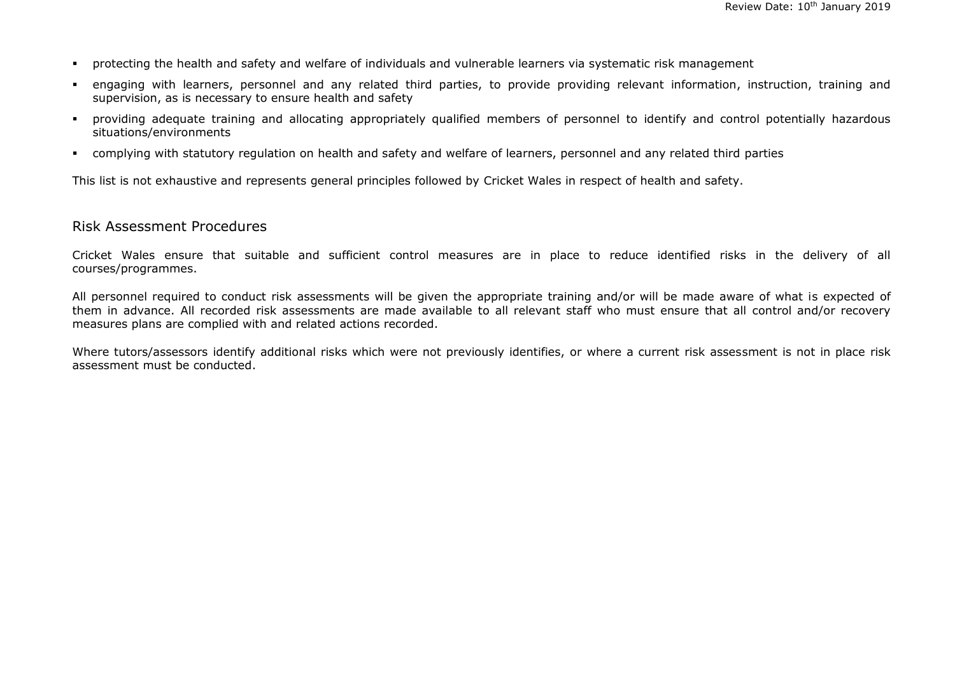- protecting the health and safety and welfare of individuals and vulnerable learners via systematic risk management
- engaging with learners, personnel and any related third parties, to provide providing relevant information, instruction, training and supervision, as is necessary to ensure health and safety
- providing adequate training and allocating appropriately qualified members of personnel to identify and control potentially hazardous situations/environments
- complying with statutory regulation on health and safety and welfare of learners, personnel and any related third parties

This list is not exhaustive and represents general principles followed by Cricket Wales in respect of health and safety.

#### Risk Assessment Procedures

Cricket Wales ensure that suitable and sufficient control measures are in place to reduce identified risks in the delivery of all courses/programmes.

All personnel required to conduct risk assessments will be given the appropriate training and/or will be made aware of what is expected of them in advance. All recorded risk assessments are made available to all relevant staff who must ensure that all control and/or recovery measures plans are complied with and related actions recorded.

Where tutors/assessors identify additional risks which were not previously identifies, or where a current risk assessment is not in place risk assessment must be conducted.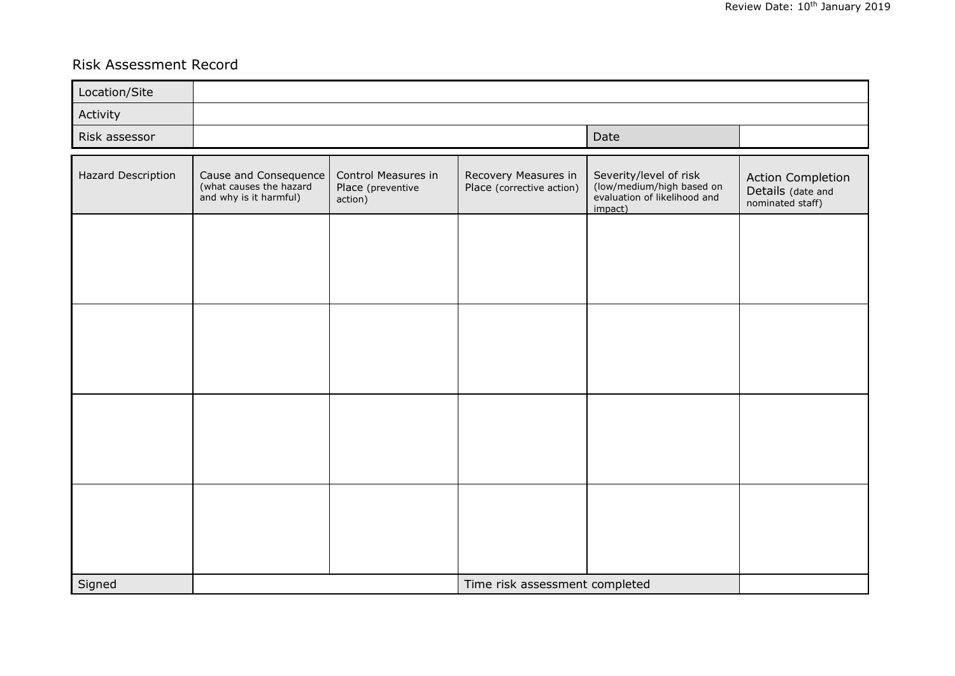# Risk Assessment Record

| Location/Site      |                                                                            |                                                     |                                                   |                                                                                                |                                                            |
|--------------------|----------------------------------------------------------------------------|-----------------------------------------------------|---------------------------------------------------|------------------------------------------------------------------------------------------------|------------------------------------------------------------|
| Activity           |                                                                            |                                                     |                                                   |                                                                                                |                                                            |
| Risk assessor      |                                                                            | Date                                                |                                                   |                                                                                                |                                                            |
| Hazard Description | Cause and Consequence<br>(what causes the hazard<br>and why is it harmful) | Control Measures in<br>Place (preventive<br>action) | Recovery Measures in<br>Place (corrective action) | Severity/level of risk<br>(low/medium/high based on<br>evaluation of likelihood and<br>impact) | Action Completion<br>Details (date and<br>nominated staff) |
|                    |                                                                            |                                                     |                                                   |                                                                                                |                                                            |
|                    |                                                                            |                                                     |                                                   |                                                                                                |                                                            |
|                    |                                                                            |                                                     |                                                   |                                                                                                |                                                            |
|                    |                                                                            |                                                     |                                                   |                                                                                                |                                                            |
| Signed             |                                                                            |                                                     | Time risk assessment completed                    |                                                                                                |                                                            |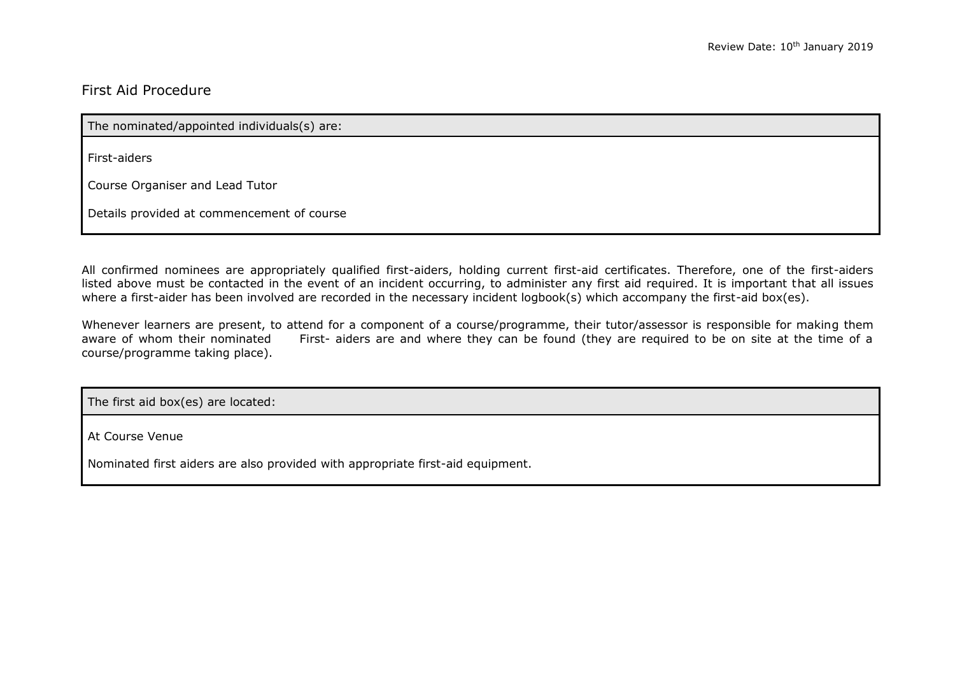### First Aid Procedure

The nominated/appointed individuals(s) are:

First-aiders

Course Organiser and Lead Tutor

Details provided at commencement of course

All confirmed nominees are appropriately qualified first-aiders, holding current first-aid certificates. Therefore, one of the first-aiders listed above must be contacted in the event of an incident occurring, to administer any first aid required. It is important that all issues where a first-aider has been involved are recorded in the necessary incident logbook(s) which accompany the first-aid box(es).

Whenever learners are present, to attend for a component of a course/programme, their tutor/assessor is responsible for making them<br>aware of whom their nominated First- aiders are and where they can be found (they are requ First- aiders are and where they can be found (they are required to be on site at the time of a course/programme taking place).

The first aid box(es) are located:

At Course Venue

Nominated first aiders are also provided with appropriate first-aid equipment.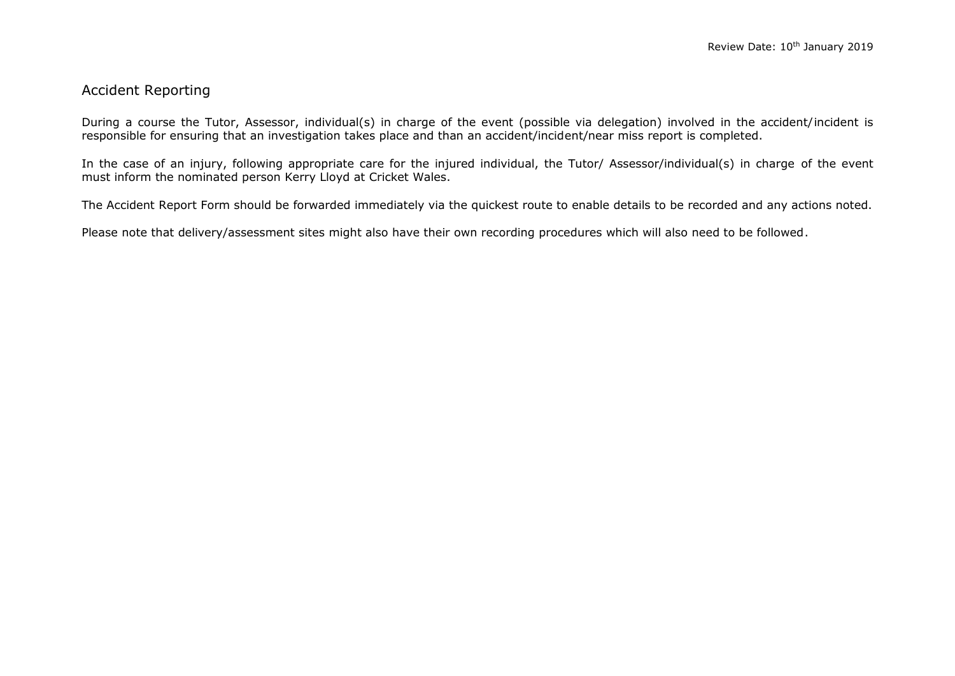### Accident Reporting

During a course the Tutor, Assessor, individual(s) in charge of the event (possible via delegation) involved in the accident/incident is responsible for ensuring that an investigation takes place and than an accident/incident/near miss report is completed.

In the case of an injury, following appropriate care for the injured individual, the Tutor/ Assessor/individual(s) in charge of the event must inform the nominated person Kerry Lloyd at Cricket Wales.

The Accident Report Form should be forwarded immediately via the quickest route to enable details to be recorded and any actions noted.

Please note that delivery/assessment sites might also have their own recording procedures which will also need to be followed.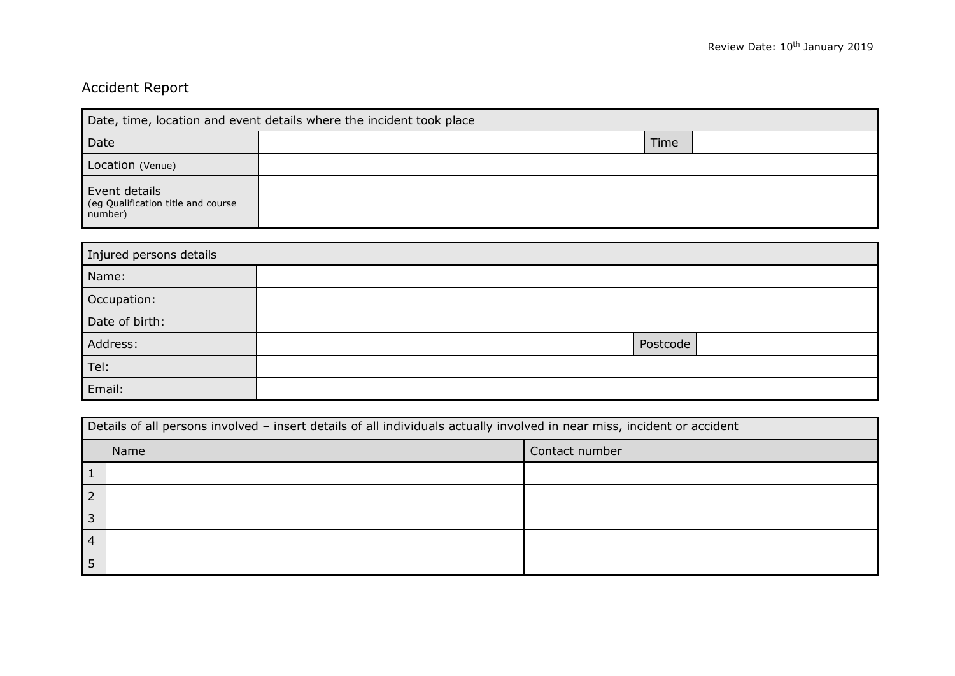# Accident Report

| Date, time, location and event details where the incident took place |      |  |  |
|----------------------------------------------------------------------|------|--|--|
| Date                                                                 | Time |  |  |
| Location (Venue)                                                     |      |  |  |
| Event details<br>(eg Qualification title and course<br>number)       |      |  |  |

| Injured persons details |          |  |  |
|-------------------------|----------|--|--|
| Name:                   |          |  |  |
| Occupation:             |          |  |  |
| Date of birth:          |          |  |  |
| Address:                | Postcode |  |  |
| Tel:                    |          |  |  |
| Email:                  |          |  |  |

| Details of all persons involved - insert details of all individuals actually involved in near miss, incident or accident |      |                |  |
|--------------------------------------------------------------------------------------------------------------------------|------|----------------|--|
|                                                                                                                          | Name | Contact number |  |
|                                                                                                                          |      |                |  |
|                                                                                                                          |      |                |  |
| 3                                                                                                                        |      |                |  |
| 4                                                                                                                        |      |                |  |
|                                                                                                                          |      |                |  |